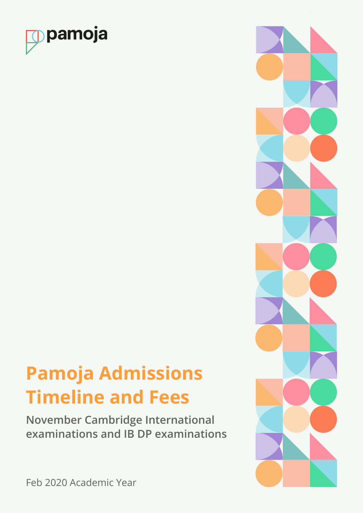

# **Pamoja Admissions Timeline and Fees**

**November Cambridge International examinations and IB DP examinations**



Feb 2020 Academic Year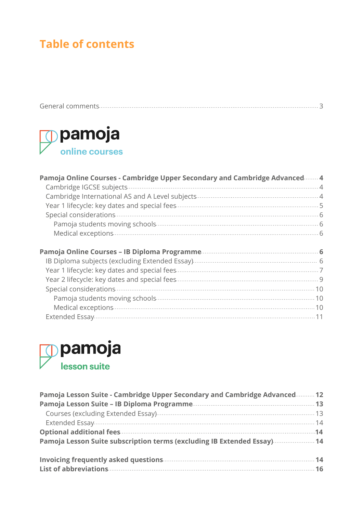# **Table of contents**



| Pamoja Online Courses - Cambridge Upper Secondary and Cambridge Advanced 4 |
|----------------------------------------------------------------------------|
|                                                                            |
|                                                                            |
|                                                                            |
|                                                                            |
|                                                                            |
|                                                                            |
|                                                                            |
|                                                                            |
|                                                                            |
|                                                                            |
|                                                                            |
|                                                                            |
|                                                                            |
|                                                                            |



| Pamoja Lesson Suite - Cambridge Upper Secondary and Cambridge Advanced 12                                                                                                                                                            |  |
|--------------------------------------------------------------------------------------------------------------------------------------------------------------------------------------------------------------------------------------|--|
|                                                                                                                                                                                                                                      |  |
|                                                                                                                                                                                                                                      |  |
|                                                                                                                                                                                                                                      |  |
| Optional additional fees <b>contract to the contract of the contract of the contract of the contract of the contract of the contract of the contract of the contract of the contract of the contract of the contract of the cont</b> |  |
| Pamoja Lesson Suite subscription terms (excluding IB Extended Essay) 14                                                                                                                                                              |  |
|                                                                                                                                                                                                                                      |  |
|                                                                                                                                                                                                                                      |  |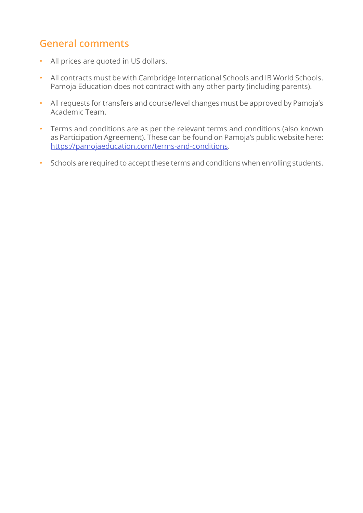# <span id="page-2-0"></span>**General comments**

- All prices are quoted in US dollars.
- All contracts must be with Cambridge International Schools and IB World Schools. Pamoja Education does not contract with any other party (including parents).
- All requests for transfers and course/level changes must be approved by Pamoja's Academic Team.
- Terms and conditions are as per the relevant terms and conditions (also known as Participation Agreement). These can be found on Pamoja's public website here: [https://pamojaeducation.com/terms-and-conditions.](https://pamojaeducation.com/terms-and-conditions)
- Schools are required to accept these terms and conditions when enrolling students.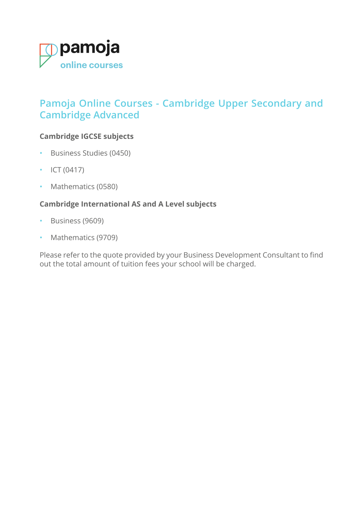<span id="page-3-0"></span>

# **Pamoja Online Courses - Cambridge Upper Secondary and Cambridge Advanced**

### **Cambridge IGCSE subjects**

- Business Studies (0450)
- ICT  $(0417)$
- Mathematics (0580)

# **Cambridge International AS and A Level subjects**

- Business (9609)
- Mathematics (9709)

Please refer to the quote provided by your Business Development Consultant to find out the total amount of tuition fees your school will be charged.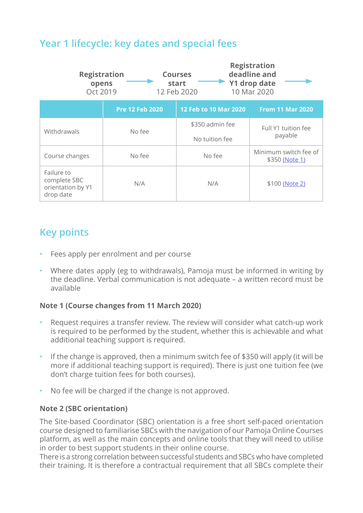# <span id="page-4-0"></span>**Year 1 lifecycle: key dates and special fees**

| <b>Registration</b><br>opens<br>Oct 2019                     |                        | <b>Courses</b><br>start<br>12 Feb 2020 | <b>Registration</b><br>deadline and<br>Y1 drop date<br>10 Mar 2020 |
|--------------------------------------------------------------|------------------------|----------------------------------------|--------------------------------------------------------------------|
|                                                              | <b>Pre 12 Feb 2020</b> | 12 Feb to 10 Mar 2020                  | <b>From 11 Mar 2020</b>                                            |
| Withdrawals                                                  | No fee                 | \$350 admin fee<br>No tuition fee      | Full Y1 tuition fee<br>payable                                     |
| Course changes                                               | No fee                 | No fee                                 | Minimum switch fee of<br>\$350 (Note 1)                            |
| Failure to<br>complete SBC<br>orientation by Y1<br>drop date | N/A                    | N/A                                    | \$100 (Note 2)                                                     |

# **Key points**

- Fees apply per enrolment and per course
- Where dates apply (eg to withdrawals), Pamoja must be informed in writing by the deadline. Verbal communication is not adequate – a written record must be available

### <span id="page-4-1"></span>**Note 1 (Course changes from 11 March 2020)**

- Request requires a transfer review. The review will consider what catch-up work is required to be performed by the student, whether this is achievable and what additional teaching support is required.
- If the change is approved, then a minimum switch fee of \$350 will apply (it will be more if additional teaching support is required). There is just one tuition fee (we don't charge tuition fees for both courses).
- No fee will be charged if the change is not approved.

#### <span id="page-4-2"></span>**Note 2 (SBC orientation)**

The Site-based Coordinator (SBC) orientation is a free short self-paced orientation course designed to familiarise SBCs with the navigation of our Pamoja Online Courses platform, as well as the main concepts and online tools that they will need to utilise in order to best support students in their online course.

There is a strong correlation between successful students and SBCs who have completed their training. It is therefore a contractual requirement that all SBCs complete their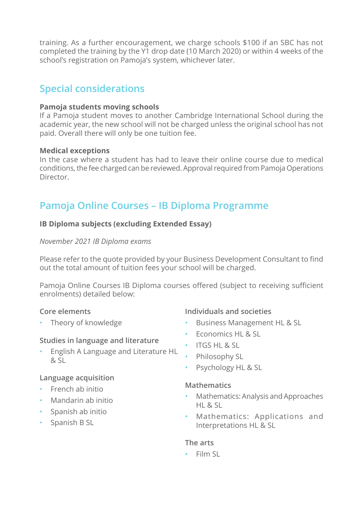<span id="page-5-0"></span>training. As a further encouragement, we charge schools \$100 if an SBC has not completed the training by the Y1 drop date (10 March 2020) or within 4 weeks of the school's registration on Pamoja's system, whichever later.

# **Special considerations**

#### **Pamoja students moving schools**

If a Pamoja student moves to another Cambridge International School during the academic year, the new school will not be charged unless the original school has not paid. Overall there will only be one tuition fee.

#### **Medical exceptions**

In the case where a student has had to leave their online course due to medical conditions, the fee charged can be reviewed. Approval required from Pamoja Operations Director.

# **Pamoja Online Courses – IB Diploma Programme**

### **IB Diploma subjects (excluding Extended Essay)**

#### *November 2021 IB Diploma exams*

Please refer to the quote provided by your Business Development Consultant to find out the total amount of tuition fees your school will be charged.

Pamoja Online Courses IB Diploma courses offered (subject to receiving sufficient enrolments) detailed below:

### **Core elements**

• Theory of knowledge

# **Individuals and societies**

- Business Management HL & SL
- Economics HL & SL
- ITGS HL & SL
- Philosophy SL
- Psychology HL & SL

### **Mathematics**

- Mathematics: Analysis and Approaches  $HI$   $R$  SL
- Mathematics: Applications and Interpretations HL & SL

### **The arts**

• Film SL

# & SL

**Studies in language and literature**

• English A Language and Literature HL

### **Language acquisition**

- French ab initio
- Mandarin ab initio
- Spanish ab initio
- Spanish B SL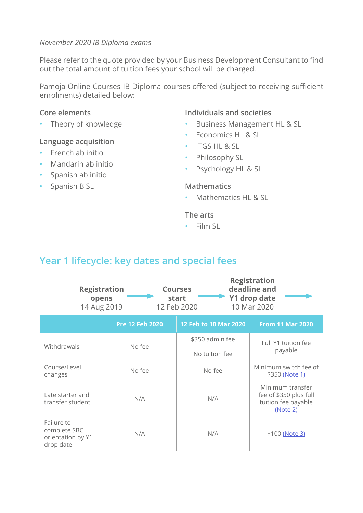#### <span id="page-6-0"></span>*November 2020 IB Diploma exams*

Please refer to the quote provided by your Business Development Consultant to find out the total amount of tuition fees your school will be charged.

Pamoja Online Courses IB Diploma courses offered (subject to receiving sufficient enrolments) detailed below:

#### **Core elements**

• Theory of knowledge

#### **Language acquisition**

- French ab initio
- Mandarin ab initio
- Spanish ab initio
- Spanish B SL

#### **Individuals and societies**

- Business Management HL & SL
- Economics HL & SL
- ITGS HL & SL
- Philosophy SL
- Psychology HL & SL

#### **Mathematics**

• Mathematics HL & SL

#### **The arts**

• Film SL

# **Year 1 lifecycle: key dates and special fees**

| <b>Registration</b><br>opens<br>14 Aug 2019                  |                        | <b>Courses</b><br>start<br>12 Feb 2020 | <b>Registration</b><br>deadline and<br><b>Y1 drop date</b><br>10 Mar 2020     |
|--------------------------------------------------------------|------------------------|----------------------------------------|-------------------------------------------------------------------------------|
|                                                              | <b>Pre 12 Feb 2020</b> | 12 Feb to 10 Mar 2020                  | <b>From 11 Mar 2020</b>                                                       |
| Withdrawals                                                  | No fee                 | \$350 admin fee                        | Full Y1 tuition fee                                                           |
|                                                              |                        | No tuition fee                         | payable                                                                       |
| Course/Level<br>changes                                      | No fee                 | No fee                                 | Minimum switch fee of<br>\$350 (Note 1)                                       |
| Late starter and<br>transfer student                         | N/A                    | N/A                                    | Minimum transfer<br>fee of \$350 plus full<br>tuition fee payable<br>(Note 2) |
| Failure to<br>complete SBC<br>orientation by Y1<br>drop date | N/A                    | N/A                                    | \$100 (Note 3)                                                                |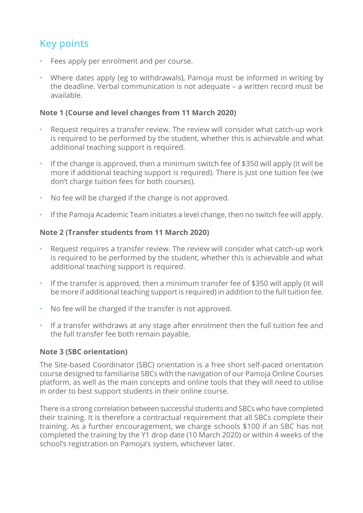# **Key points**

- Fees apply per enrolment and per course.
- Where dates apply (eg to withdrawals), Pamoja must be informed in writing by the deadline. Verbal communication is not adequate – a written record must be available.

#### <span id="page-7-0"></span>**Note 1 (Course and level changes from 11 March 2020)**

- Request requires a transfer review. The review will consider what catch-up work is required to be performed by the student, whether this is achievable and what additional teaching support is required.
- If the change is approved, then a minimum switch fee of \$350 will apply (it will be more if additional teaching support is required). There is just one tuition fee (we don't charge tuition fees for both courses).
- No fee will be charged if the change is not approved.
- If the Pamoja Academic Team initiates a level change, then no switch fee will apply.

#### <span id="page-7-1"></span>**Note 2 (Transfer students from 11 March 2020)**

- Request requires a transfer review. The review will consider what catch-up work is required to be performed by the student, whether this is achievable and what additional teaching support is required.
- If the transfer is approved, then a minimum transfer fee of \$350 will apply (it will be more if additional teaching support is required) in addition to the full tuition fee.
- No fee will be charged if the transfer is not approved.
- If a transfer withdraws at any stage after enrolment then the full tuition fee and the full transfer fee both remain payable.

### <span id="page-7-2"></span>**Note 3 (SBC orientation)**

The Site-based Coordinator (SBC) orientation is a free short self-paced orientation course designed to familiarise SBCs with the navigation of our Pamoja Online Courses platform, as well as the main concepts and online tools that they will need to utilise in order to best support students in their online course.

There is a strong correlation between successful students and SBCs who have completed their training. It is therefore a contractual requirement that all SBCs complete their training. As a further encouragement, we charge schools \$100 if an SBC has not completed the training by the Y1 drop date (10 March 2020) or within 4 weeks of the school's registration on Pamoja's system, whichever later.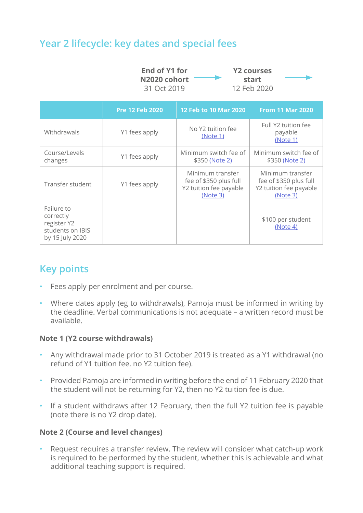# <span id="page-8-0"></span>**Year 2 lifecycle: key dates and special fees**

| End of Y1 for | <b>Y2 courses</b> |  |
|---------------|-------------------|--|
| N2020 cohort  | start             |  |
| 31 Oct 2019   | 12 Feb 2020       |  |

|                                                                               | <b>Pre 12 Feb 2020</b> | 12 Feb to 10 Mar 2020                                                            | <b>From 11 Mar 2020</b>                                                          |
|-------------------------------------------------------------------------------|------------------------|----------------------------------------------------------------------------------|----------------------------------------------------------------------------------|
| Withdrawals                                                                   | Y1 fees apply          | No Y2 tuition fee<br>(Note 1)                                                    | Full Y2 tuition fee<br>payable<br>(Note 1)                                       |
| Course/Levels<br>changes                                                      | Y1 fees apply          | Minimum switch fee of<br>\$350 (Note 2)                                          | Minimum switch fee of<br>\$350 (Note 2)                                          |
| Transfer student                                                              | Y1 fees apply          | Minimum transfer<br>fee of \$350 plus full<br>Y2 tuition fee payable<br>(Note 3) | Minimum transfer<br>fee of \$350 plus full<br>Y2 tuition fee payable<br>(Note 3) |
| Failure to<br>correctly<br>register Y2<br>students on IBIS<br>by 15 July 2020 |                        |                                                                                  | \$100 per student<br>(Note 4)                                                    |

# **Key points**

- Fees apply per enrolment and per course.
- Where dates apply (eg to withdrawals), Pamoja must be informed in writing by the deadline. Verbal communications is not adequate – a written record must be available.

#### <span id="page-8-1"></span>**Note 1 (Y2 course withdrawals)**

- Any withdrawal made prior to 31 October 2019 is treated as a Y1 withdrawal (no refund of Y1 tuition fee, no Y2 tuition fee).
- Provided Pamoja are informed in writing before the end of 11 February 2020 that the student will not be returning for Y2, then no Y2 tuition fee is due.
- If a student withdraws after 12 February, then the full Y2 tuition fee is payable (note there is no Y2 drop date).

#### <span id="page-8-2"></span>**Note 2 (Course and level changes)**

• Request requires a transfer review. The review will consider what catch-up work is required to be performed by the student, whether this is achievable and what additional teaching support is required.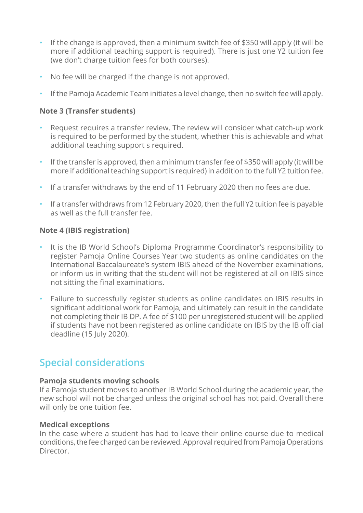- <span id="page-9-0"></span>• If the change is approved, then a minimum switch fee of \$350 will apply (it will be more if additional teaching support is required). There is just one Y2 tuition fee (we don't charge tuition fees for both courses).
- No fee will be charged if the change is not approved.
- If the Pamoja Academic Team initiates a level change, then no switch fee will apply.

### <span id="page-9-1"></span>**Note 3 (Transfer students)**

- Request requires a transfer review. The review will consider what catch-up work is required to be performed by the student, whether this is achievable and what additional teaching support s required.
- If the transfer is approved, then a minimum transfer fee of \$350 will apply (it will be more if additional teaching support is required) in addition to the full Y2 tuition fee.
- If a transfer withdraws by the end of 11 February 2020 then no fees are due.
- If a transfer withdraws from 12 February 2020, then the full Y2 tuition fee is payable as well as the full transfer fee.

### <span id="page-9-2"></span>**Note 4 (IBIS registration)**

- It is the IB World School's Diploma Programme Coordinator's responsibility to register Pamoja Online Courses Year two students as online candidates on the International Baccalaureate's system IBIS ahead of the November examinations, or inform us in writing that the student will not be registered at all on IBIS since not sitting the final examinations.
- Failure to successfully register students as online candidates on IBIS results in significant additional work for Pamoja, and ultimately can result in the candidate not completing their IB DP. A fee of \$100 per unregistered student will be applied if students have not been registered as online candidate on IBIS by the IB official deadline (15 July 2020).

# **Special considerations**

### **Pamoja students moving schools**

If a Pamoja student moves to another IB World School during the academic year, the new school will not be charged unless the original school has not paid. Overall there will only be one tuition fee.

### **Medical exceptions**

In the case where a student has had to leave their online course due to medical conditions, the fee charged can be reviewed. Approval required from Pamoja Operations Director.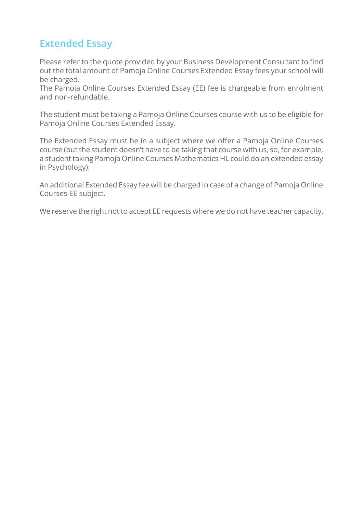# <span id="page-10-0"></span>**Extended Essay**

Please refer to the quote provided by your Business Development Consultant to find out the total amount of Pamoja Online Courses Extended Essay fees your school will be charged.

The Pamoja Online Courses Extended Essay (EE) fee is chargeable from enrolment and non-refundable.

The student must be taking a Pamoja Online Courses course with us to be eligible for Pamoja Online Courses Extended Essay.

The Extended Essay must be in a subject where we offer a Pamoja Online Courses course (but the student doesn't have to be taking that course with us, so, for example, a student taking Pamoja Online Courses Mathematics HL could do an extended essay in Psychology).

An additional Extended Essay fee will be charged in case of a change of Pamoja Online Courses EE subject.

We reserve the right not to accept EE requests where we do not have teacher capacity.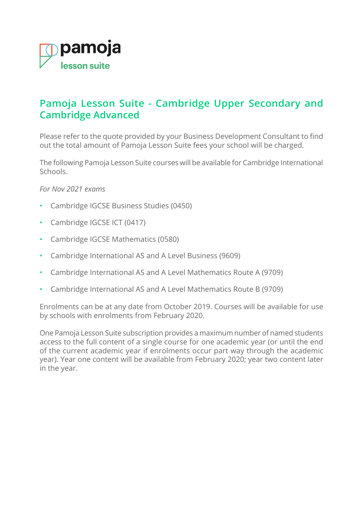<span id="page-11-0"></span>

# **Pamoja Lesson Suite - Cambridge Upper Secondary and Cambridge Advanced**

Please refer to the quote provided by your Business Development Consultant to find out the total amount of Pamoja Lesson Suite fees your school will be charged.

The following Pamoja Lesson Suite courses will be available for Cambridge International Schools.

*For Nov 2021 exams*

- Cambridge IGCSE Business Studies (0450)
- Cambridge IGCSE ICT (0417)
- Cambridge IGCSE Mathematics (0580)
- Cambridge International AS and A Level Business (9609)
- Cambridge International AS and A Level Mathematics Route A (9709)
- Cambridge International AS and A Level Mathematics Route B (9709)

Enrolments can be at any date from October 2019. Courses will be available for use by schools with enrolments from February 2020.

One Pamoja Lesson Suite subscription provides a maximum number of named students access to the full content of a single course for one academic year (or until the end of the current academic year if enrolments occur part way through the academic year). Year one content will be available from February 2020; year two content later in the year.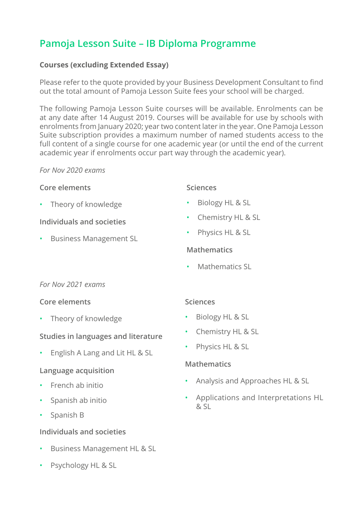# <span id="page-12-0"></span>**Pamoja Lesson Suite – IB Diploma Programme**

### **Courses (excluding Extended Essay)**

Please refer to the quote provided by your Business Development Consultant to find out the total amount of Pamoja Lesson Suite fees your school will be charged.

The following Pamoja Lesson Suite courses will be available. Enrolments can be at any date after 14 August 2019. Courses will be available for use by schools with enrolments from January 2020; year two content later in the year. One Pamoja Lesson Suite subscription provides a maximum number of named students access to the full content of a single course for one academic year (or until the end of the current academic year if enrolments occur part way through the academic year).

#### *For Nov 2020 exams*

#### **Core elements**

• Theory of knowledge

**Individuals and societies**

• Business Management SL

#### **Sciences**

- Biology HL & SL
- Chemistry HL & SL
- Physics HL & SL

### **Mathematics**

• Mathematics SL

### *For Nov 2021 exams*

### **Core elements**

• Theory of knowledge

# **Studies in languages and literature**

• English A Lang and Lit HL & SL

# **Language acquisition**

- French ab initio
- Spanish ab initio
- Spanish B

# **Individuals and societies**

- Business Management HL & SL
- Psychology HL & SL

### **Sciences**

- Biology HL & SL
- Chemistry HL & SL
- Physics HL & SL

# **Mathematics**

- Analysis and Approaches HL & SL
- Applications and Interpretations HL  $RST$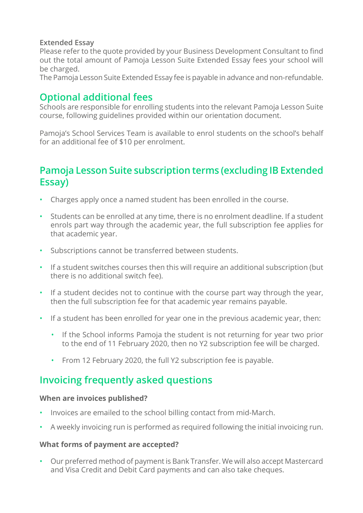#### <span id="page-13-0"></span>**Extended Essay**

Please refer to the quote provided by your Business Development Consultant to find out the total amount of Pamoja Lesson Suite Extended Essay fees your school will be charged.

The Pamoja Lesson Suite Extended Essay fee is payable in advance and non-refundable.

# **Optional additional fees**

Schools are responsible for enrolling students into the relevant Pamoja Lesson Suite course, following guidelines provided within our orientation document.

Pamoja's School Services Team is available to enrol students on the school's behalf for an additional fee of \$10 per enrolment.

# **Pamoja Lesson Suite subscription terms (excluding IB Extended Essay)**

- Charges apply once a named student has been enrolled in the course.
- Students can be enrolled at any time, there is no enrolment deadline. If a student enrols part way through the academic year, the full subscription fee applies for that academic year.
- Subscriptions cannot be transferred between students.
- If a student switches courses then this will require an additional subscription (but there is no additional switch fee).
- If a student decides not to continue with the course part way through the year, then the full subscription fee for that academic year remains payable.
- If a student has been enrolled for year one in the previous academic year, then:
	- If the School informs Pamoja the student is not returning for year two prior to the end of 11 February 2020, then no Y2 subscription fee will be charged.
	- From 12 February 2020, the full Y2 subscription fee is payable.

# **Invoicing frequently asked questions**

#### **When are invoices published?**

- Invoices are emailed to the school billing contact from mid-March.
- A weekly invoicing run is performed as required following the initial invoicing run.

### **What forms of payment are accepted?**

• Our preferred method of payment is Bank Transfer. We will also accept Mastercard and Visa Credit and Debit Card payments and can also take cheques.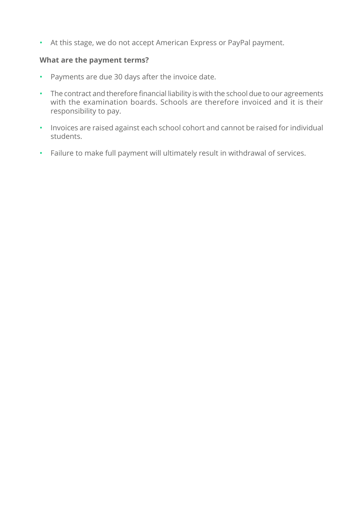• At this stage, we do not accept American Express or PayPal payment.

#### **What are the payment terms?**

- Payments are due 30 days after the invoice date.
- The contract and therefore financial liability is with the school due to our agreements with the examination boards. Schools are therefore invoiced and it is their responsibility to pay.
- Invoices are raised against each school cohort and cannot be raised for individual students.
- Failure to make full payment will ultimately result in withdrawal of services.